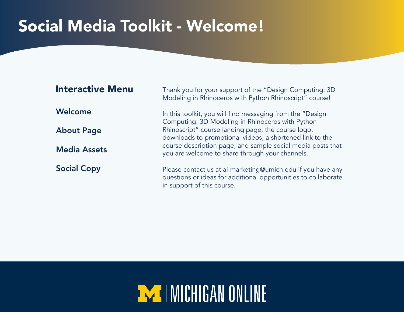## Social Media Toolkit - Welcome!

| <b>Interactive Menu</b> | Thank you for your support of the "Design Computing: 3D<br>Modeling in Rhinoceros with Python Rhinoscript" course!                                          |
|-------------------------|-------------------------------------------------------------------------------------------------------------------------------------------------------------|
| Welcome                 | In this toolkit, you will find messaging from the "Design<br>Computing: 3D Modeling in Rhinoceros with Python                                               |
| <b>About Page</b>       | Rhinoscript" course landing page, the course logo,<br>downloads to promotional videos, a shortened link to the                                              |
| <b>Media Assets</b>     | course description page, and sample social media posts that<br>you are welcome to share through your channels.                                              |
| <b>Social Copy</b>      | Please contact us at ai-marketing@umich.edu if you have any<br>questions or ideas for additional opportunities to collaborate<br>in support of this course. |

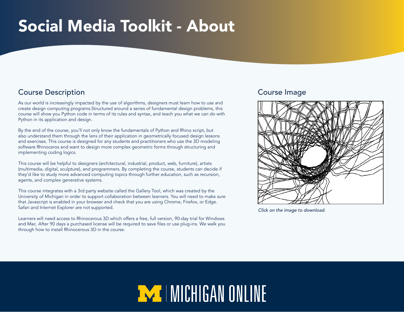### <span id="page-1-0"></span>Social Media Toolkit - About

### Course Description Course Image

As our world is increasingly impacted by the use of algorithms, designers must learn how to use and create design computing programs.Structured around a series of fundamental design problems, this course will show you Python code in terms of its rules and syntax, and teach you what we can do with Python in its application and design.

By the end of the course, you'll not only know the fundamentals of Python and Rhino script, but also understand them through the lens of their application in geometrically focused design lessons and exercises. This course is designed for any students and practitioners who use the 3D modeling software Rhinoceros and want to design more complex geometric forms through structuring and implementing coding logics.

This course will be helpful to designers (architectural, industrial, product, web, furniture), artists (multimedia, digital, sculpture), and programmers. By completing the course, students can decide if they'd like to study more advanced computing topics through further education, such as recursion, agents, and complex generative systems.

This course integrates with a 3rd party website called the Gallery Tool, which was created by the University of Michigan in order to support collaboration between learners. You will need to make sure that Javascript is enabled in your browser and check that you are using Chrome, Firefox, or Edge. Safari and Internet Explorer are not supported.

Learners will need access to Rhinocerous 3D which offers a free, full version, 90-day trial for Windows and Mac. After 90 days a purchased license will be required to save files or use plug-ins. We walk you through how to install Rhinocerous 3D in the course.



*Click on the image to download.* 

# **EXT | MICHIGAN ONLINE**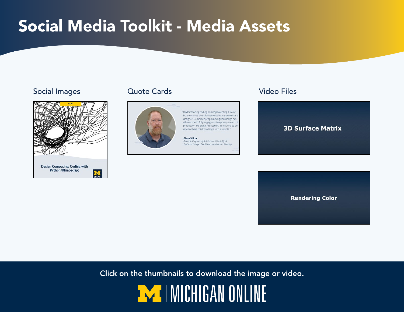### <span id="page-2-0"></span>Social Media Toolkit - Media Assets

#### Social Images Cuote Cards Video Files



#### Quote Cards



"Understanding coding and implementing it in my built work has been fundamental to my growth as a designer. Computer programming knowledge has allowed me to fully engage contemporary means of production like digital fabrication. It's exciting to be able to share this knowledge with students."

**Glenn Wilcox** Associate Professor of Architecture, U-M A. Alfred Taubman College of Architecture and Urban Planning



**Rendering Color** 

Click on the thumbnails to download the image or video.